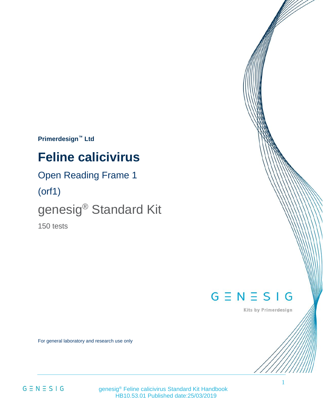**Primerdesign™ Ltd**

# **Feline calicivirus**

### Open Reading Frame 1

(orf1)

# genesig® Standard Kit

150 tests

## $G \equiv N \equiv S \mid G$

Kits by Primerdesign

For general laboratory and research use only

 $G \equiv N \equiv S \mid G$ 

 genesig® Feline calicivirus Standard Kit Handbook HB10.53.01 Published date:25/03/2019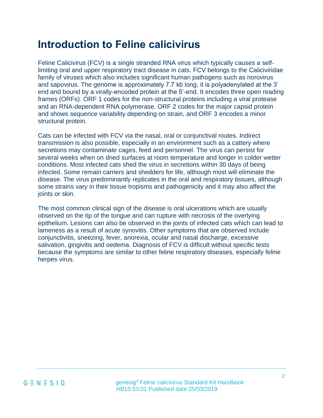## **Introduction to Feline calicivirus**

Feline Calicivirus (FCV) is a single stranded RNA virus which typically causes a selflimiting oral and upper respiratory tract disease in cats. FCV belongs to the Caliciviridae family of viruses which also includes significant human pathogens such as norovirus and sapovirus. The genome is approximately 7.7 kb long, it is polyadenylated at the 3' end and bound by a virally-encoded protein at the 5'-end. It encodes three open reading frames (ORFs). ORF 1 codes for the non-structural proteins including a viral protease and an RNA-dependent RNA polymerase. ORF 2 codes for the major capsid protein and shows sequence variability depending on strain, and ORF 3 encodes a minor structural protein.

Cats can be infected with FCV via the nasal, oral or conjunctival routes. Indirect transmission is also possible, especially in an environment such as a cattery where secretions may contaminate cages, feed and personnel. The virus can persist for several weeks when on dried surfaces at room temperature and longer in colder wetter conditions. Most infected cats shed the virus in secretions within 30 days of being infected. Some remain carriers and shedders for life, although most will eliminate the disease. The virus predominantly replicates in the oral and respiratory tissues, although some strains vary in their tissue tropisms and pathogenicity and it may also affect the joints or skin.

The most common clinical sign of the disease is oral ulcerations which are usually observed on the tip of the tongue and can rupture with necrosis of the overlying epithelium. Lesions can also be observed in the joints of infected cats which can lead to lameness as a result of acute synovitis. Other symptoms that are observed include conjunctivitis, sneezing, fever, anorexia, ocular and nasal discharge, excessive salivation, gingivitis and oedema. Diagnosis of FCV is difficult without specific tests because the symptoms are similar to other feline respiratory diseases, especially feline herpes virus.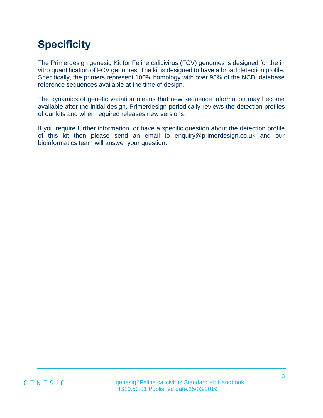# **Specificity**

The Primerdesign genesig Kit for Feline calicivirus (FCV) genomes is designed for the in vitro quantification of FCV genomes. The kit is designed to have a broad detection profile. Specifically, the primers represent 100% homology with over 95% of the NCBI database reference sequences available at the time of design.

The dynamics of genetic variation means that new sequence information may become available after the initial design. Primerdesign periodically reviews the detection profiles of our kits and when required releases new versions.

If you require further information, or have a specific question about the detection profile of this kit then please send an email to enquiry@primerdesign.co.uk and our bioinformatics team will answer your question.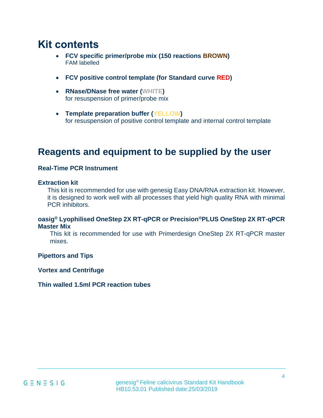## **Kit contents**

- **FCV specific primer/probe mix (150 reactions BROWN)** FAM labelled
- **FCV positive control template (for Standard curve RED)**
- **RNase/DNase free water (WHITE)** for resuspension of primer/probe mix
- **Template preparation buffer (YELLOW)** for resuspension of positive control template and internal control template

### **Reagents and equipment to be supplied by the user**

### **Real-Time PCR Instrument**

#### **Extraction kit**

This kit is recommended for use with genesig Easy DNA/RNA extraction kit. However, it is designed to work well with all processes that yield high quality RNA with minimal PCR inhibitors.

### **oasig® Lyophilised OneStep 2X RT-qPCR or Precision®PLUS OneStep 2X RT-qPCR Master Mix**

This kit is recommended for use with Primerdesign OneStep 2X RT-qPCR master mixes.

#### **Pipettors and Tips**

#### **Vortex and Centrifuge**

#### **Thin walled 1.5ml PCR reaction tubes**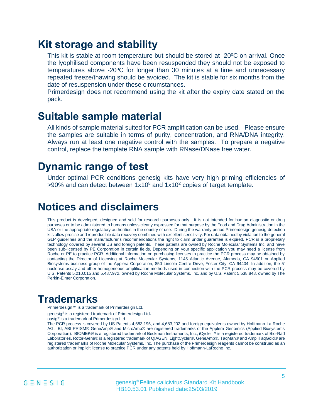### **Kit storage and stability**

This kit is stable at room temperature but should be stored at -20ºC on arrival. Once the lyophilised components have been resuspended they should not be exposed to temperatures above -20ºC for longer than 30 minutes at a time and unnecessary repeated freeze/thawing should be avoided. The kit is stable for six months from the date of resuspension under these circumstances.

Primerdesign does not recommend using the kit after the expiry date stated on the pack.

### **Suitable sample material**

All kinds of sample material suited for PCR amplification can be used. Please ensure the samples are suitable in terms of purity, concentration, and RNA/DNA integrity. Always run at least one negative control with the samples. To prepare a negative control, replace the template RNA sample with RNase/DNase free water.

### **Dynamic range of test**

Under optimal PCR conditions genesig kits have very high priming efficiencies of  $>90\%$  and can detect between  $1x10^8$  and  $1x10^2$  copies of target template.

### **Notices and disclaimers**

This product is developed, designed and sold for research purposes only. It is not intended for human diagnostic or drug purposes or to be administered to humans unless clearly expressed for that purpose by the Food and Drug Administration in the USA or the appropriate regulatory authorities in the country of use. During the warranty period Primerdesign genesig detection kits allow precise and reproducible data recovery combined with excellent sensitivity. For data obtained by violation to the general GLP guidelines and the manufacturer's recommendations the right to claim under guarantee is expired. PCR is a proprietary technology covered by several US and foreign patents. These patents are owned by Roche Molecular Systems Inc. and have been sub-licensed by PE Corporation in certain fields. Depending on your specific application you may need a license from Roche or PE to practice PCR. Additional information on purchasing licenses to practice the PCR process may be obtained by contacting the Director of Licensing at Roche Molecular Systems, 1145 Atlantic Avenue, Alameda, CA 94501 or Applied Biosystems business group of the Applera Corporation, 850 Lincoln Centre Drive, Foster City, CA 94404. In addition, the 5' nuclease assay and other homogeneous amplification methods used in connection with the PCR process may be covered by U.S. Patents 5,210,015 and 5,487,972, owned by Roche Molecular Systems, Inc, and by U.S. Patent 5,538,848, owned by The Perkin-Elmer Corporation.

### **Trademarks**

Primerdesign™ is a trademark of Primerdesign Ltd.

genesig<sup>®</sup> is a registered trademark of Primerdesign Ltd.

oasig® is a trademark of Primerdesign Ltd.

The PCR process is covered by US Patents 4,683,195, and 4,683,202 and foreign equivalents owned by Hoffmann-La Roche AG. BI, ABI PRISM® GeneAmp® and MicroAmp® are registered trademarks of the Applera Genomics (Applied Biosystems Corporation). BIOMEK® is a registered trademark of Beckman Instruments, Inc.; iCycler™ is a registered trademark of Bio-Rad Laboratories, Rotor-Gene® is a registered trademark of QIAGEN. LightCycler®, GeneAmp®, TaqMan® and AmpliTaqGold® are registered trademarks of Roche Molecular Systems, Inc. The purchase of the Primerdesign reagents cannot be construed as an authorization or implicit license to practice PCR under any patents held by Hoffmann-LaRoche Inc.

 genesig® Feline calicivirus Standard Kit Handbook HB10.53.01 Published date:25/03/2019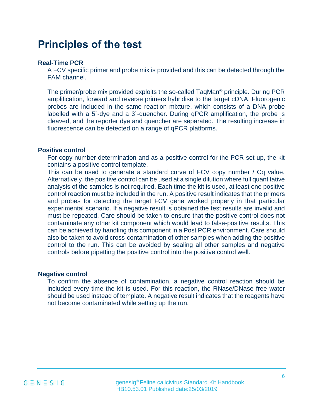## **Principles of the test**

### **Real-Time PCR**

A FCV specific primer and probe mix is provided and this can be detected through the FAM channel.

The primer/probe mix provided exploits the so-called TaqMan® principle. During PCR amplification, forward and reverse primers hybridise to the target cDNA. Fluorogenic probes are included in the same reaction mixture, which consists of a DNA probe labelled with a 5`-dye and a 3`-quencher. During qPCR amplification, the probe is cleaved, and the reporter dye and quencher are separated. The resulting increase in fluorescence can be detected on a range of qPCR platforms.

#### **Positive control**

For copy number determination and as a positive control for the PCR set up, the kit contains a positive control template.

This can be used to generate a standard curve of FCV copy number / Cq value. Alternatively, the positive control can be used at a single dilution where full quantitative analysis of the samples is not required. Each time the kit is used, at least one positive control reaction must be included in the run. A positive result indicates that the primers and probes for detecting the target FCV gene worked properly in that particular experimental scenario. If a negative result is obtained the test results are invalid and must be repeated. Care should be taken to ensure that the positive control does not contaminate any other kit component which would lead to false-positive results. This can be achieved by handling this component in a Post PCR environment. Care should also be taken to avoid cross-contamination of other samples when adding the positive control to the run. This can be avoided by sealing all other samples and negative controls before pipetting the positive control into the positive control well.

#### **Negative control**

To confirm the absence of contamination, a negative control reaction should be included every time the kit is used. For this reaction, the RNase/DNase free water should be used instead of template. A negative result indicates that the reagents have not become contaminated while setting up the run.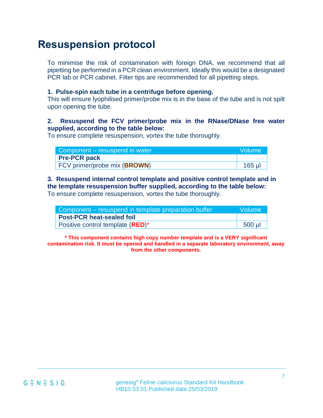## **Resuspension protocol**

To minimise the risk of contamination with foreign DNA, we recommend that all pipetting be performed in a PCR clean environment. Ideally this would be a designated PCR lab or PCR cabinet. Filter tips are recommended for all pipetting steps.

### **1. Pulse-spin each tube in a centrifuge before opening.**

This will ensure lyophilised primer/probe mix is in the base of the tube and is not spilt upon opening the tube.

### **2. Resuspend the FCV primer/probe mix in the RNase/DNase free water supplied, according to the table below:**

To ensure complete resuspension, vortex the tube thoroughly.

| Component – resuspend in water |         |  |
|--------------------------------|---------|--|
| <b>Pre-PCR pack</b>            |         |  |
| FCV primer/probe mix (BROWN)   | $165$ µ |  |

### **3. Resuspend internal control template and positive control template and in the template resuspension buffer supplied, according to the table below:**  To ensure complete resuspension, vortex the tube thoroughly.

| Component – resuspend in template preparation buffer | Volume   |  |
|------------------------------------------------------|----------|--|
| <b>Post-PCR heat-sealed foil</b>                     |          |  |
| Positive control template ( <b>RED</b> )*            | $500$ µl |  |

**\* This component contains high copy number template and is a VERY significant contamination risk. It must be opened and handled in a separate laboratory environment, away from the other components.**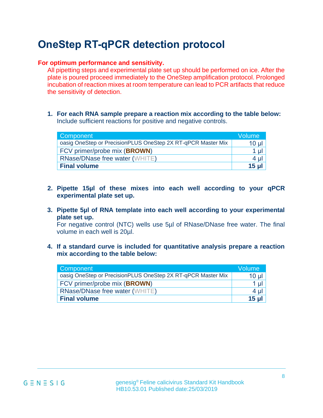## **OneStep RT-qPCR detection protocol**

### **For optimum performance and sensitivity.**

All pipetting steps and experimental plate set up should be performed on ice. After the plate is poured proceed immediately to the OneStep amplification protocol. Prolonged incubation of reaction mixes at room temperature can lead to PCR artifacts that reduce the sensitivity of detection.

**1. For each RNA sample prepare a reaction mix according to the table below:**  Include sufficient reactions for positive and negative controls.

| <b>Component</b>                                             | Volume   |
|--------------------------------------------------------------|----------|
| oasig OneStep or PrecisionPLUS OneStep 2X RT-qPCR Master Mix | $10 \mu$ |
| FCV primer/probe mix (BROWN)                                 | $1 \mu$  |
| <b>RNase/DNase free water (WHITE)</b>                        | $4 \mu$  |
| <b>Final volume</b>                                          | $15$ ul  |

- **2. Pipette 15µl of these mixes into each well according to your qPCR experimental plate set up.**
- **3. Pipette 5µl of RNA template into each well according to your experimental plate set up.**

For negative control (NTC) wells use 5µl of RNase/DNase free water. The final volume in each well is 20µl.

**4. If a standard curve is included for quantitative analysis prepare a reaction mix according to the table below:**

| Component                                                    | Volume          |
|--------------------------------------------------------------|-----------------|
| oasig OneStep or PrecisionPLUS OneStep 2X RT-qPCR Master Mix | 10 <sub>µ</sub> |
| FCV primer/probe mix (BROWN)                                 | 1 µl            |
| <b>RNase/DNase free water (WHITE)</b>                        | 4 ul            |
| <b>Final volume</b>                                          | 15 <sub>u</sub> |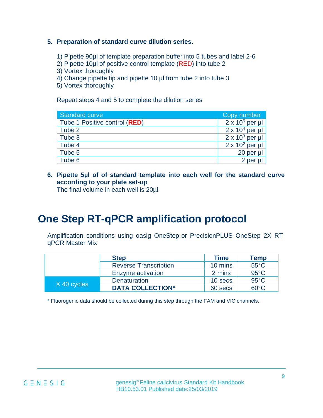### **5. Preparation of standard curve dilution series.**

- 1) Pipette 90µl of template preparation buffer into 5 tubes and label 2-6
- 2) Pipette 10µl of positive control template (RED) into tube 2
- 3) Vortex thoroughly
- 4) Change pipette tip and pipette 10 µl from tube 2 into tube 3
- 5) Vortex thoroughly

Repeat steps 4 and 5 to complete the dilution series

| <b>Standard curve</b>         | Copy number            |
|-------------------------------|------------------------|
| Tube 1 Positive control (RED) | $2 \times 10^5$ per µl |
| Tube 2                        | $2 \times 10^4$ per µl |
| Tube 3                        | $2 \times 10^3$ per µl |
| Tube 4                        | $2 \times 10^2$ per µl |
| Tube 5                        | 20 per µl              |
| Tube 6                        | 2 per µl               |

**6. Pipette 5µl of of standard template into each well for the standard curve according to your plate set-up**

The final volume in each well is 20µl.

## **One Step RT-qPCR amplification protocol**

Amplification conditions using oasig OneStep or PrecisionPLUS OneStep 2X RTqPCR Master Mix

|             | <b>Step</b>                  | <b>Time</b> | <b>Temp</b>    |
|-------------|------------------------------|-------------|----------------|
|             | <b>Reverse Transcription</b> | 10 mins     | $55^{\circ}$ C |
|             | Enzyme activation            | 2 mins      | $95^{\circ}$ C |
| X 40 cycles | <b>Denaturation</b>          | 10 secs     | $95^{\circ}$ C |
|             | <b>DATA COLLECTION*</b>      | 60 secs     | $60^{\circ}$ C |

\* Fluorogenic data should be collected during this step through the FAM and VIC channels.